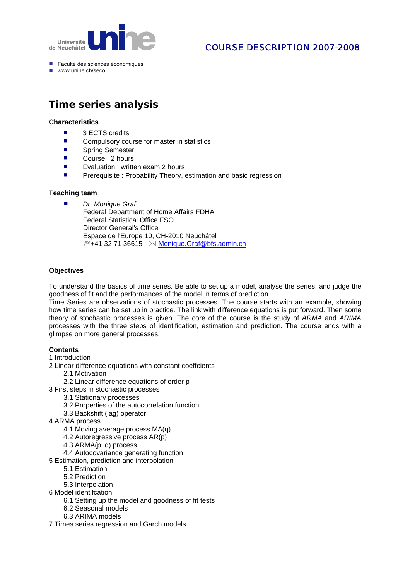

## COURSE DESCRIPTION 2007-2008

- Faculté des sciences économiques
- $\blacksquare$  www.unine.ch/seco

# **Time series analysis**

#### **Characteristics**

- 3 ECTS credits
- Compulsory course for master in statistics
- Spring Semester
- Course : 2 hours
- Evaluation : written exam 2 hours
- **Prerequisite : Probability Theory, estimation and basic regression**

#### **Teaching team**

 *Dr. Monique Graf* Federal Department of Home Affairs FDHA Federal Statistical Office FSO Director General's Office Espace de l'Europe 10, CH-2010 Neuchâtel  $\mathbb{R}$ +41 32 71 36615 -  $\boxtimes$  Monique.Graf@bfs.admin.ch

#### **Objectives**

To understand the basics of time series. Be able to set up a model, analyse the series, and judge the goodness of fit and the performances of the model in terms of prediction.

Time Series are observations of stochastic processes. The course starts with an example, showing how time series can be set up in practice. The link with difference equations is put forward. Then some theory of stochastic processes is given. The core of the course is the study of *ARMA* and *ARIMA* processes with the three steps of identification, estimation and prediction. The course ends with a glimpse on more general processes.

#### **Contents**

#### 1 Introduction

2 Linear difference equations with constant coeffcients

- 2.1 Motivation
- 2.2 Linear difference equations of order p
- 3 First steps in stochastic processes
	- 3.1 Stationary processes
	- 3.2 Properties of the autocorrelation function
	- 3.3 Backshift (lag) operator
- 4 ARMA process
	- 4.1 Moving average process MA(q)
	- 4.2 Autoregressive process AR(p)
	- 4.3 ARMA(p; q) process
	- 4.4 Autocovariance generating function
- 5 Estimation, prediction and interpolation
	- 5.1 Estimation
	- 5.2 Prediction
	- 5.3 Interpolation
- 6 Model identifcation
	- 6.1 Setting up the model and goodness of fit tests
	- 6.2 Seasonal models
	- 6.3 ARIMA models
- 7 Times series regression and Garch models